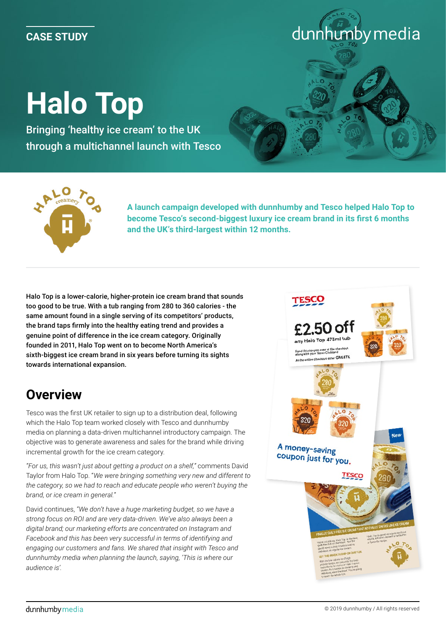#### **CASE STUDY**

# **Halo Top**

Bringing 'healthy ice cream' to the UK through a multichannel launch with Tesco





**A launch campaign developed with dunnhumby and Tesco helped Halo Top to become Tesco's second-biggest luxury ice cream brand in its first 6 months and the UK's third-largest within 12 months.** 

Halo Top is a lower-calorie, higher-protein ice cream brand that sounds too good to be true. With a tub ranging from 280 to 360 calories - the same amount found in a single serving of its competitors' products, the brand taps firmly into the healthy eating trend and provides a genuine point of difference in the ice cream category. Originally founded in 2011, Halo Top went on to become North America's sixth-biggest ice cream brand in six years before turning its sights towards international expansion.

### **Overview**

Tesco was the first UK retailer to sign up to a distribution deal, following which the Halo Top team worked closely with Tesco and dunnhumby media on planning a data-driven multichannel introductory campaign. The objective was to generate awareness and sales for the brand while driving incremental growth for the ice cream category.

*"For us, this wasn't just about getting a product on a shelf,"* comments David Taylor from Halo Top. "*We were bringing something very new and different to the category, so we had to reach and educate people who weren't buying the brand, or ice cream in general.*"

David continues, *"We don't have a huge marketing budget, so we have a strong focus on ROI and are very data-driven. We've also always been a digital brand; our marketing efforts are concentrated on Instagram and Facebook and this has been very successful in terms of identifying and engaging our customers and fans. We shared that insight with Tesco and dunnhumby media when planning the launch, saying, 'This is where our audience is'.*